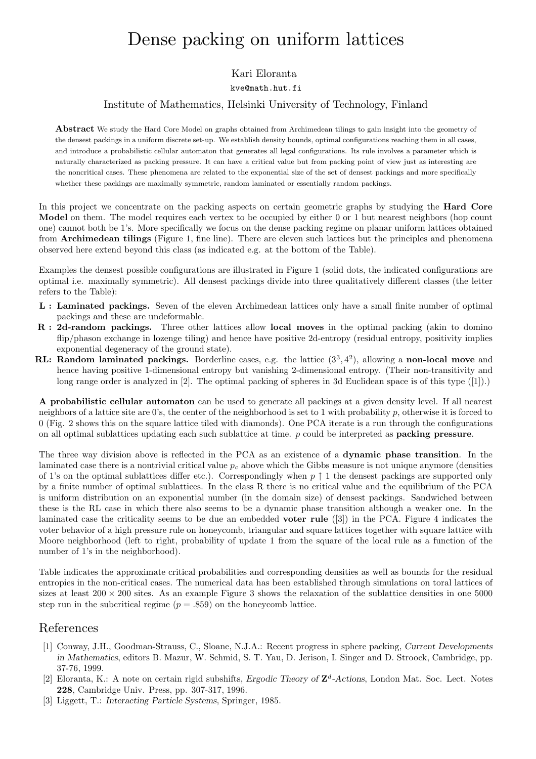# Dense packing on uniform lattices

## Kari Eloranta

#### kve@math.hut.fi

### Institute of Mathematics, Helsinki University of Technology, Finland

Abstract We study the Hard Core Model on graphs obtained from Archimedean tilings to gain insight into the geometry of the densest packings in a uniform discrete set-up. We establish density bounds, optimal configurations reaching them in all cases, and introduce a probabilistic cellular automaton that generates all legal configurations. Its rule involves a parameter which is naturally characterized as packing pressure. It can have a critical value but from packing point of view just as interesting are the noncritical cases. These phenomena are related to the exponential size of the set of densest packings and more specifically whether these packings are maximally symmetric, random laminated or essentially random packings.

In this project we concentrate on the packing aspects on certain geometric graphs by studying the **Hard Core** Model on them. The model requires each vertex to be occupied by either 0 or 1 but nearest neighbors (hop count one) cannot both be 1's. More specifically we focus on the dense packing regime on planar uniform lattices obtained from Archimedean tilings (Figure 1, fine line). There are eleven such lattices but the principles and phenomena observed here extend beyond this class (as indicated e.g. at the bottom of the Table).

Examples the densest possible configurations are illustrated in Figure 1 (solid dots, the indicated configurations are optimal i.e. maximally symmetric). All densest packings divide into three qualitatively different classes (the letter refers to the Table):

- L : Laminated packings. Seven of the eleven Archimedean lattices only have a small finite number of optimal packings and these are undeformable.
- R : 2d-random packings. Three other lattices allow local moves in the optimal packing (akin to domino flip/phason exchange in lozenge tiling) and hence have positive 2d-entropy (residual entropy, positivity implies exponential degeneracy of the ground state).
- RL: Random laminated packings. Borderline cases, e.g. the lattice  $(3^3, 4^2)$ , allowing a non-local move and hence having positive 1-dimensional entropy but vanishing 2-dimensional entropy. (Their non-transitivity and long range order is analyzed in [2]. The optimal packing of spheres in 3d Euclidean space is of this type ([1]).)

A probabilistic cellular automaton can be used to generate all packings at a given density level. If all nearest neighbors of a lattice site are 0's, the center of the neighborhood is set to 1 with probability p, otherwise it is forced to 0 (Fig. 2 shows this on the square lattice tiled with diamonds). One PCA iterate is a run through the configurations on all optimal sublattices updating each such sublattice at time. p could be interpreted as packing pressure.

The three way division above is reflected in the PCA as an existence of a dynamic phase transition. In the laminated case there is a nontrivial critical value  $p_c$  above which the Gibbs measure is not unique anymore (densities of 1's on the optimal sublattices differ etc.). Correspondingly when  $p \uparrow 1$  the densest packings are supported only by a finite number of optimal sublattices. In the class R there is no critical value and the equilibrium of the PCA is uniform distribution on an exponential number (in the domain size) of densest packings. Sandwiched between these is the RL case in which there also seems to be a dynamic phase transition although a weaker one. In the laminated case the criticality seems to be due an embedded voter rule ([3]) in the PCA. Figure 4 indicates the voter behavior of a high pressure rule on honeycomb, triangular and square lattices together with square lattice with Moore neighborhood (left to right, probability of update 1 from the square of the local rule as a function of the number of 1's in the neighborhood).

Table indicates the approximate critical probabilities and corresponding densities as well as bounds for the residual entropies in the non-critical cases. The numerical data has been established through simulations on toral lattices of sizes at least  $200 \times 200$  sites. As an example Figure 3 shows the relaxation of the sublattice densities in one 5000 step run in the subcritical regime  $(p=.859)$  on the honeycomb lattice.

# References

- [1] Conway, J.H., Goodman-Strauss, C., Sloane, N.J.A.: Recent progress in sphere packing, Current Developments in Mathematics, editors B. Mazur, W. Schmid, S. T. Yau, D. Jerison, I. Singer and D. Stroock, Cambridge, pp. 37-76, 1999.
- [2] Eloranta, K.: A note on certain rigid subshifts, Ergodic Theory of  $\mathbb{Z}^d$ -Actions, London Mat. Soc. Lect. Notes 228, Cambridge Univ. Press, pp. 307-317, 1996.
- [3] Liggett, T.: Interacting Particle Systems, Springer, 1985.